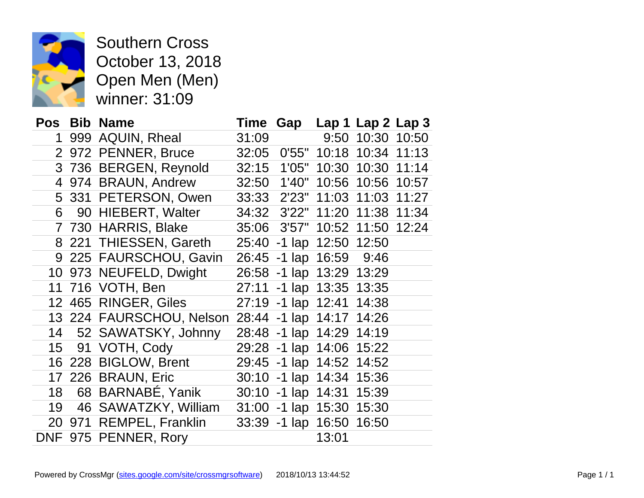

Southern Cross October 13, 2018 Open Men (Men) winner: 31:09

|                |     | Pos Bib Name                                      | Time  |                     |                          | Gap Lap 1 Lap 2 Lap 3  |       |
|----------------|-----|---------------------------------------------------|-------|---------------------|--------------------------|------------------------|-------|
| 1              |     | 999 AQUIN, Rheal                                  |       |                     |                          | 31:09 9:50 10:30 10:50 |       |
|                |     | 2 972 PENNER, Bruce                               | 32:05 |                     | 0'55" 10:18              | 10:34                  | 11:13 |
|                |     | 3 736 BERGEN, Reynold                             | 32:15 | 1'05"               |                          | 10:30 10:30            | 11:14 |
| $\overline{4}$ |     | 974 BRAUN, Andrew                                 | 32:50 | 1'40"               |                          | 10:56 10:56 10:57      |       |
|                |     | 5 331 PETERSON, Owen                              | 33:33 |                     | 2'23" 11:03 11:03        |                        | 11:27 |
| 6              |     | 90 HIEBERT, Walter                                | 34:32 | 3'22"               | 11:20                    | 11:38                  | 11:34 |
| $\overline{7}$ |     | 730 HARRIS, Blake                                 | 35:06 |                     | 3'57" 10:52 11:50        |                        | 12:24 |
| 8              |     | 221 THIESSEN, Gareth                              | 25:40 |                     | -1 lap 12:50 12:50       |                        |       |
|                |     | 9 225 FAURSCHOU, Gavin                            |       |                     | 26:45 -1 lap 16:59       | 9:46                   |       |
| 10             |     | 973 NEUFELD, Dwight                               |       |                     | 26:58 -1 lap 13:29 13:29 |                        |       |
| 11             |     | 716 VOTH, Ben                                     | 27:11 |                     | -1 lap 13:35 13:35       |                        |       |
|                |     | 12 465 RINGER, Giles                              |       |                     | 27:19 -1 lap 12:41 14:38 |                        |       |
|                |     | 13 224 FAURSCHOU, Nelson 28:44 -1 lap 14:17 14:26 |       |                     |                          |                        |       |
| 14             |     | 52 SAWATSKY, Johnny                               |       | 28:48 -1 lap 14:29  |                          | 14:19                  |       |
| 15             |     | 91 VOTH, Cody                                     |       | 29:28 -1 lap 14:06  |                          | 15:22                  |       |
|                |     | 16 228 BIGLOW, Brent                              |       |                     | 29:45 -1 lap 14:52 14:52 |                        |       |
| 17             |     | 226 BRAUN, Eric                                   |       |                     | 30:10 -1 lap 14:34 15:36 |                        |       |
| 18             |     | 68 BARNABÉ, Yanik                                 | 30:10 |                     | $-1$ lap $14:31$         | 15:39                  |       |
| 19             |     | 46 SAWATZKY, William                              |       | 31:00 -1 lap 15:30  |                          | 15:30                  |       |
| 20             | 971 | <b>REMPEL, Franklin</b>                           |       | 33:39 - 1 lap 16:50 |                          | 16:50                  |       |
|                |     | DNF 975 PENNER, Rory                              |       |                     | 13:01                    |                        |       |